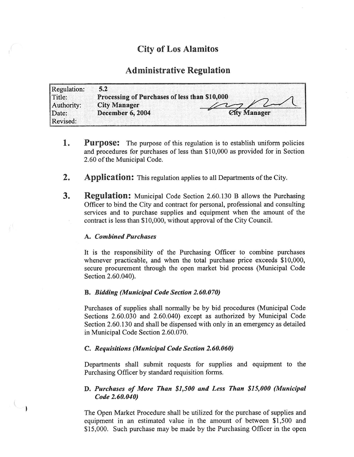# City of Los Alamitos

# Administrative Regulation

| Regulation:       | 5.2                                           |                                   |
|-------------------|-----------------------------------------------|-----------------------------------|
| Title:            | Processing of Purchases of less than \$10,000 |                                   |
| Authority:        | <b>City Manager</b>                           |                                   |
| Date:<br>Revised: | December 6, 2004                              | <b><i><u>City</u></i></b> Manager |

- **1.** Purpose: The purpose of this regulation is to establish uniform policies and procedures for purchases of less than \$10,000 as provided for in Section 2.60 of the Municipal Code.
- 2. Application: This regulation applies to all Departments of the City.
- **3.** Regulation: Municipal Code Section 2.60.130 B allows the Purchasing Officer to bind the City and contract for personal, professional and consulting services and to purchase supplies and equipment when the amount of the contract is less than \$10,000, without approval of the City Council.

#### A. Combined Purchases

 $C_{1}$ 

It is the responsibility of the Purchasing Officer to combine purchases whenever practicable, and when the total purchase price exceeds \$10,000, secure procurement through the open market bid process (Municipal Code Section 2.60.040).

## B. Bidding (Municipal Code Section 2.60.070)

Purchases of supplies shall normally be by bid procedures ( Municipal Code Sections 2.60.030 and 2.60.040) except as authorized by Municipal Code Section 2.60. 130 and shall be dispensed with only in an emergency as detailed in Municipal Code Section 2.60.070.

#### C. Requisitions (Municipal Code Section 2.60.060)

Departments shall submit requests for supplies and equipment to the Purchasing Officer by standard requisition forms.

# D. Purchases of More Than \$1,500 and Less Than \$15,000 (Municipal Code 2.60.040)

The Open Market Procedure shall be utilized for the purchase of supplies and equipment in an estimated value in the amount of between \$1,500 and \$15,000. Such purchase may be made by the Purchasing Officer in the open